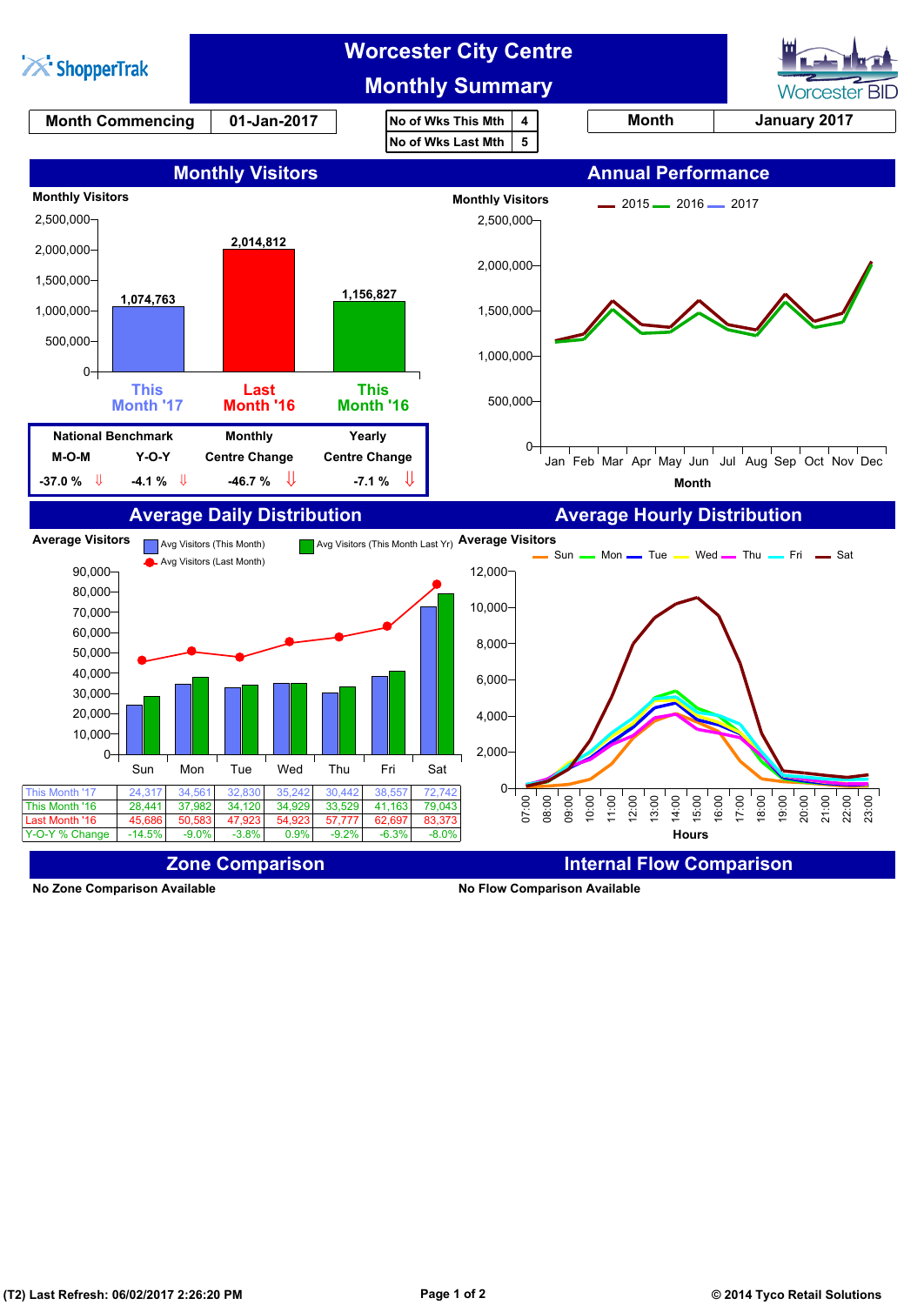

**No Zone Comparison Available No Flow Comparison Available**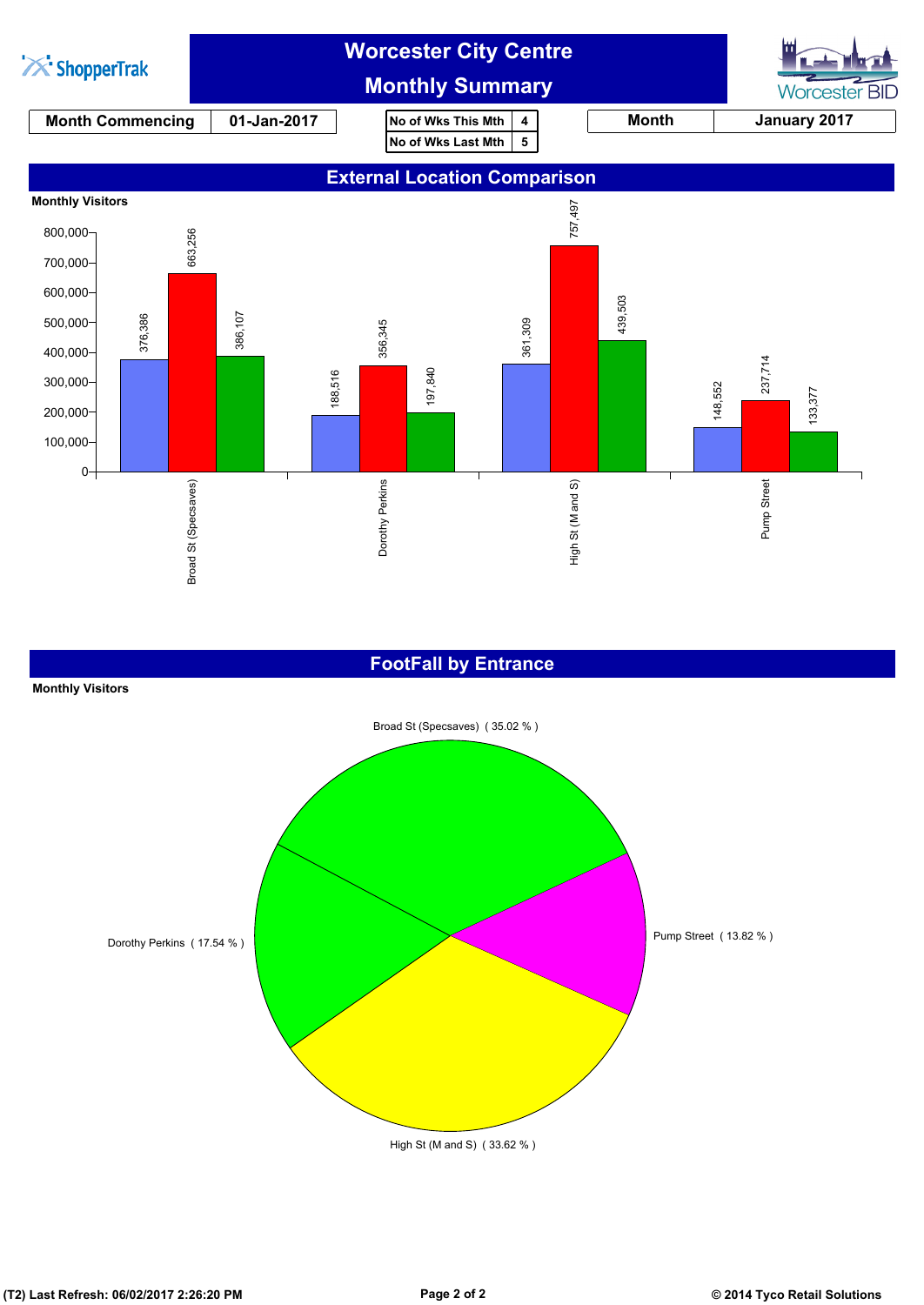

## **FootFall by Entrance**



**(T2) Last Refresh: 06/02/2017 2:26:20 PM Page 2 of 2 © 2014 Tyco Retail Solutions**